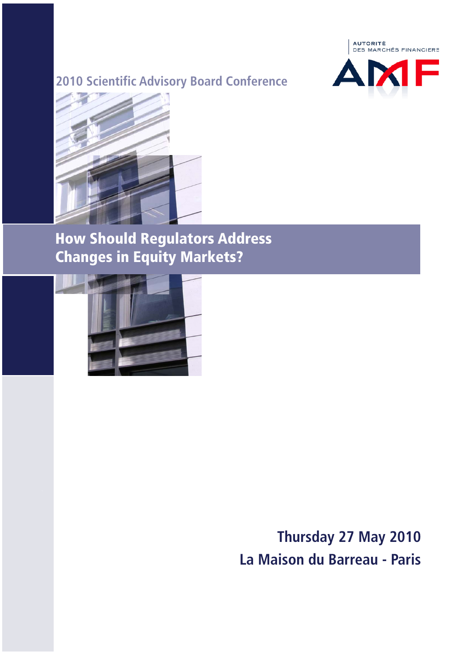



**How Should Regulators Address Changes in Equity Markets?**



**Thursday 27 May 2010 La Maison du Barreau - Paris**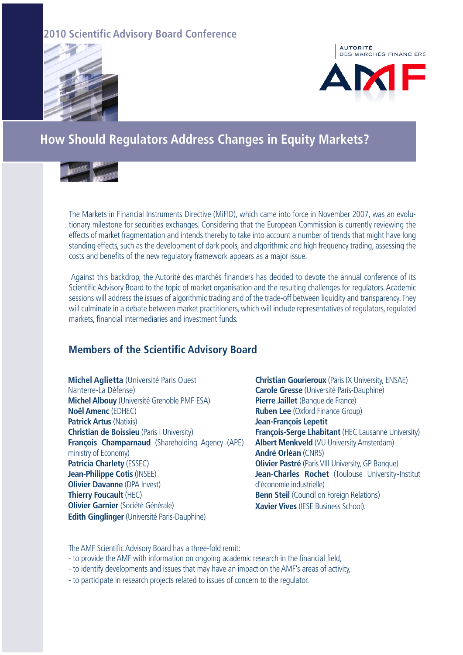



### **How Should Regulators Address Changes in Equity Markets?**



The Markets in Financial Instruments Directive (MiFID), which came into force in November 2007, was an evolutionary milestone for securities exchanges. Considering that the European Commission is currently reviewing the effects of market fragmentation and intends thereby to take into account a number of trends that might have long standing effects, such as the development of dark pools, and algorithmic and high frequency trading, assessing the costs and benefits of the new regulatory framework appears as a major issue.

Against this backdrop, the Autorité des marchés financiers has decided to devote the annual conference of its Scientific Advisory Board to the topic of market organisation and the resulting challenges for regulators. Academic sessions will address the issues of algorithmic trading and of the trade-off between liquidity and transparency. They will culminate in a debate between market practitioners, which will include representatives of regulators, regulated markets, financial intermediaries and investment funds.

#### **Members of the Scientific Advisory Board**

**Michel Aglietta** (Université Paris Ouest Nanterre-La Défense) **Michel Albouy** (Université Grenoble PMF-ESA) **Noël Amenc** (EDHEC) **Patrick Artus** (Natixis) **Christian de Boissieu** (Paris I University) **François Champarnaud** (Shareholding Agency (APE) ministry of Economy) **Patricia Charlety** (ESSEC) **Jean-Philippe Cotis** (INSEE) **Olivier Davanne** (DPA Invest) **Thierry Foucault** (HEC) **Olivier Garnier** (Société Générale) **Edith Ginglinger** (Université Paris-Dauphine)

**Christian Gourieroux** (Paris IX University, ENSAE) **Carole Gresse** (Université Paris-Dauphine) **Pierre Jaillet** (Banque de France) **Ruben Lee** (Oxford Finance Group) **Jean-François Lepetit François-Serge Lhabitant** (HEC Lausanne University) **Albert Menkveld** (VU University Amsterdam) **André Orléan** (CNRS) **Olivier Pastré** (Paris VIII University, GP Banque) **Jean-Charles Rochet** (Toulouse University-Institut d'économie industrielle) **Benn Steil** (Council on Foreign Relations) **Xavier Vives** (IESE Business School).

The AMF Scientific Advisory Board has a three-fold remit:

- to provide the AMF with information on ongoing academic research in the financial field,
- to identify developments and issues that may have an impact on the AMF's areas of activity,
- to participate in research projects related to issues of concern to the regulator.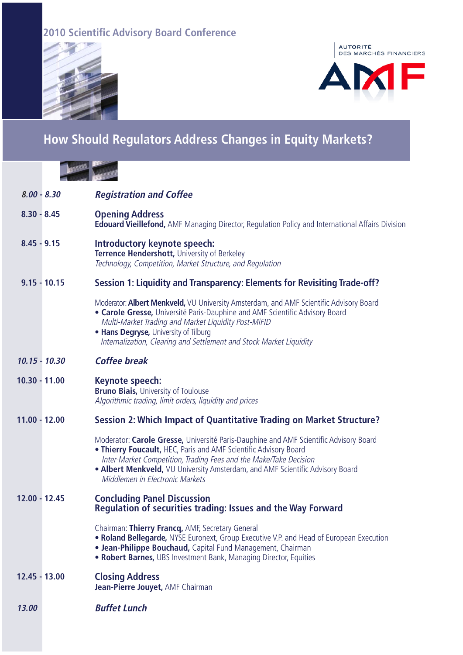



## **How Should Regulators Address Changes in Equity Markets?**

| $8.00 - 8.30$   |                | <b>Registration and Coffee</b>                                                                                                                                                                                                                                                                                                                     |
|-----------------|----------------|----------------------------------------------------------------------------------------------------------------------------------------------------------------------------------------------------------------------------------------------------------------------------------------------------------------------------------------------------|
| $8.30 - 8.45$   |                | <b>Opening Address</b><br><b>Edouard Vieillefond,</b> AMF Managing Director, Regulation Policy and International Affairs Division                                                                                                                                                                                                                  |
| $8.45 - 9.15$   |                | Introductory keynote speech:<br>Terrence Hendershott, University of Berkeley<br>Technology, Competition, Market Structure, and Regulation                                                                                                                                                                                                          |
|                 | $9.15 - 10.15$ | Session 1: Liquidity and Transparency: Elements for Revisiting Trade-off?                                                                                                                                                                                                                                                                          |
|                 |                | Moderator: Albert Menkveld, VU University Amsterdam, and AMF Scientific Advisory Board<br>• Carole Gresse, Université Paris-Dauphine and AMF Scientific Advisory Board<br>Multi-Market Trading and Market Liquidity Post-MiFID<br>• Hans Degryse, University of Tilburg<br>Internalization, Clearing and Settlement and Stock Market Liquidity     |
| $10.15 - 10.30$ |                | <b>Coffee break</b>                                                                                                                                                                                                                                                                                                                                |
| $10.30 - 11.00$ |                | Keynote speech:<br><b>Bruno Biais, University of Toulouse</b><br>Algorithmic trading, limit orders, liquidity and prices                                                                                                                                                                                                                           |
| $11.00 - 12.00$ |                | Session 2: Which Impact of Quantitative Trading on Market Structure?                                                                                                                                                                                                                                                                               |
|                 |                | Moderator: Carole Gresse, Université Paris-Dauphine and AMF Scientific Advisory Board<br>. Thierry Foucault, HEC, Paris and AMF Scientific Advisory Board<br>Inter-Market Competition, Trading Fees and the Make/Take Decision<br>. Albert Menkveld, VU University Amsterdam, and AMF Scientific Advisory Board<br>Middlemen in Electronic Markets |
| $12.00 - 12.45$ |                | <b>Concluding Panel Discussion</b><br><b>Regulation of securities trading: Issues and the Way Forward</b>                                                                                                                                                                                                                                          |
|                 |                | Chairman: Thierry Francq, AMF, Secretary General<br>• Roland Bellegarde, NYSE Euronext, Group Executive V.P. and Head of European Execution<br>• Jean-Philippe Bouchaud, Capital Fund Management, Chairman<br>• Robert Barnes, UBS Investment Bank, Managing Director, Equities                                                                    |
| 12.45 - 13.00   |                | <b>Closing Address</b><br>Jean-Pierre Jouyet, AMF Chairman                                                                                                                                                                                                                                                                                         |
| 13.00           |                | <b>Buffet Lunch</b>                                                                                                                                                                                                                                                                                                                                |
|                 |                |                                                                                                                                                                                                                                                                                                                                                    |